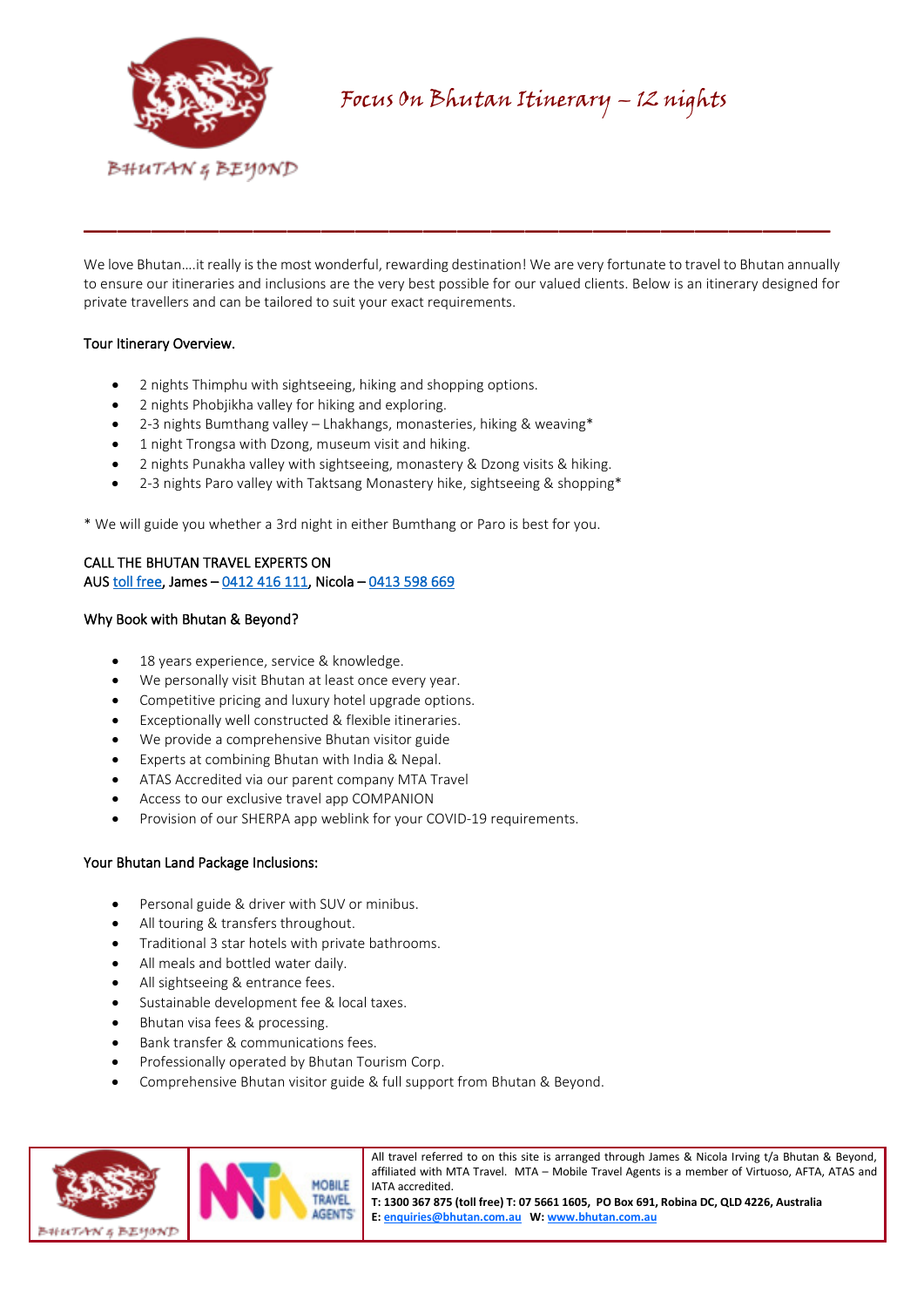

We love Bhutan….it really is the most wonderful, rewarding destination! We are very fortunate to travel to Bhutan annually to ensure our itineraries and inclusions are the very best possible for our valued clients. Below is an itinerary designed for private travellers and can be tailored to suit your exact requirements.

\_\_\_\_\_\_\_\_\_\_\_\_\_\_\_\_\_\_\_\_\_\_\_\_\_\_\_\_\_\_\_\_\_\_\_\_\_\_\_\_\_\_\_\_

# Tour Itinerary Overview.

- 2 nights Thimphu with sightseeing, hiking and shopping options.
- 2 nights Phobjikha valley for hiking and exploring.
- 2-3 nights Bumthang valley Lhakhangs, monasteries, hiking & weaving\*
- 1 night Trongsa with Dzong, museum visit and hiking.
- 2 nights Punakha valley with sightseeing, monastery & Dzong visits & hiking.
- 2-3 nights Paro valley with Taktsang Monastery hike, sightseeing & shopping\*

\* We will guide you whether a 3rd night in either Bumthang or Paro is best for you.

# CALL THE BHUTAN TRAVEL EXPERTS ON AUS [toll free,](tel:1300%20367%20875) James – [0412 416 111,](tel:0412%20416%20111) Nicola [– 0413 598 669](tel:0413%20598%20669)

## Why Book with Bhutan & Beyond?

- 18 years experience, service & knowledge.
- We personally visit Bhutan at least once every year.
- Competitive pricing and luxury hotel upgrade options.
- Exceptionally well constructed & flexible itineraries.
- We provide a comprehensive Bhutan visitor guide
- Experts at combining Bhutan with India & Nepal.
- ATAS Accredited via our parent company MTA Travel
- Access to our exclusive travel app COMPANION
- Provision of our SHERPA app weblink for your COVID-19 requirements.

# Your Bhutan Land Package Inclusions:

- Personal guide & driver with SUV or minibus.
- All touring & transfers throughout.
- Traditional 3 star hotels with private bathrooms.
- All meals and bottled water daily.
- All sightseeing & entrance fees.
- Sustainable development fee & local taxes.
- Bhutan visa fees & processing.
- Bank transfer & communications fees.
- Professionally operated by Bhutan Tourism Corp.
- Comprehensive Bhutan visitor guide & full support from Bhutan & Beyond.



All travel referred to on this site is arranged through James & Nicola Irving t/a Bhutan & Beyond, affiliated with MTA Travel. MTA – Mobile Travel Agents is a member of Virtuoso, AFTA, ATAS and IATA accredited.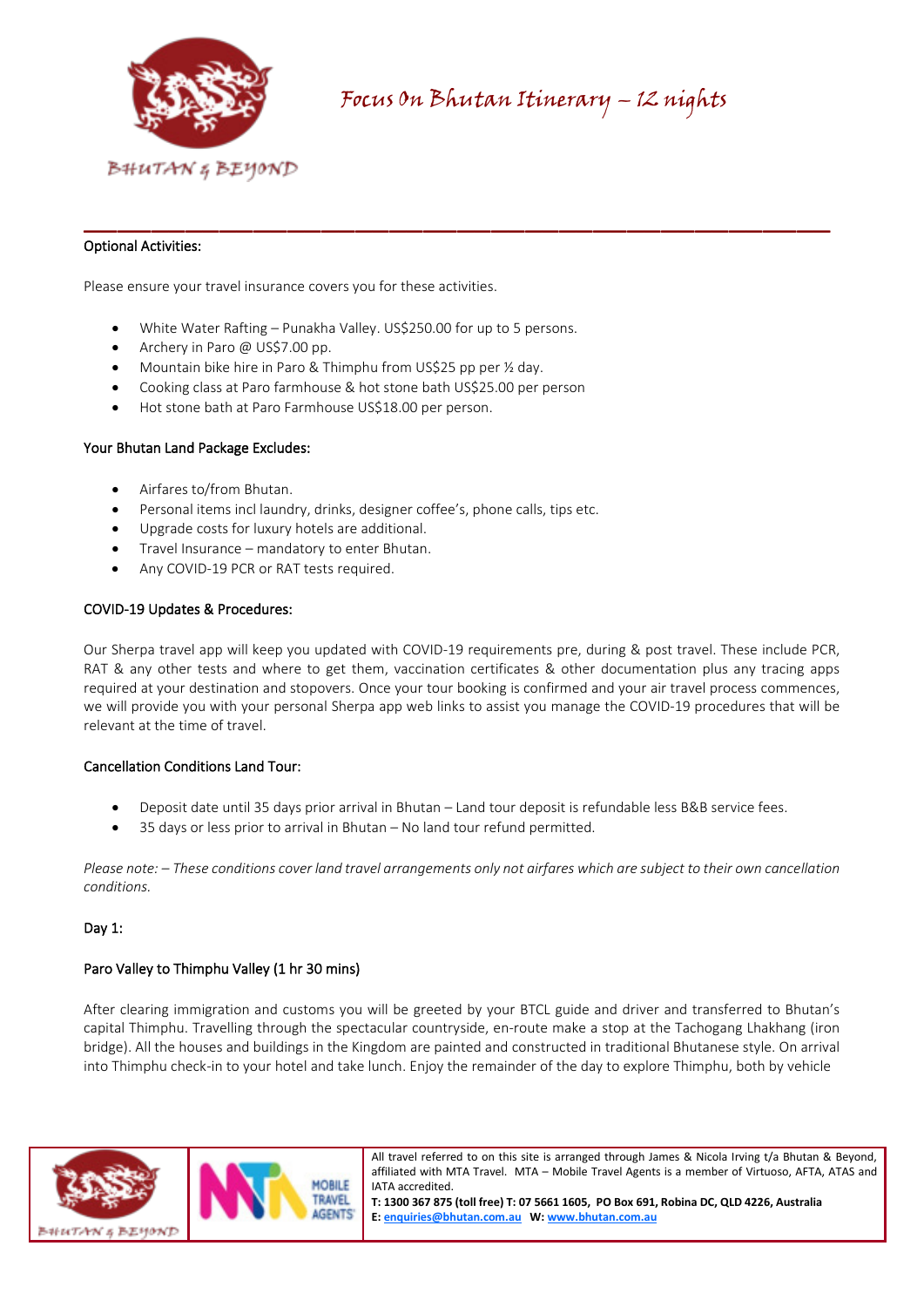

# Optional Activities:

Please ensure your travel insurance covers you for these activities.

- White Water Rafting Punakha Valley. US\$250.00 for up to 5 persons.
- Archery in Paro @ US\$7.00 pp.
- Mountain bike hire in Paro & Thimphu from US\$25 pp per ½ day.
- Cooking class at Paro farmhouse & hot stone bath US\$25.00 per person
- Hot stone bath at Paro Farmhouse US\$18.00 per person.

#### Your Bhutan Land Package Excludes:

- Airfares to/from Bhutan.
- Personal items incl laundry, drinks, designer coffee's, phone calls, tips etc.
- Upgrade costs for luxury hotels are additional.
- Travel Insurance mandatory to enter Bhutan.
- Any COVID-19 PCR or RAT tests required.

#### COVID-19 Updates & Procedures:

Our Sherpa travel app will keep you updated with COVID-19 requirements pre, during & post travel. These include PCR, RAT & any other tests and where to get them, vaccination certificates & other documentation plus any tracing apps required at your destination and stopovers. Once your tour booking is confirmed and your air travel process commences, we will provide you with your personal Sherpa app web links to assist you manage the COVID-19 procedures that will be relevant at the time of travel.

\_\_\_\_\_\_\_\_\_\_\_\_\_\_\_\_\_\_\_\_\_\_\_\_\_\_\_\_\_\_\_\_\_\_\_\_\_\_\_\_\_\_\_\_

#### Cancellation Conditions Land Tour:

- Deposit date until 35 days prior arrival in Bhutan Land tour deposit is refundable less B&B service fees.
- 35 days or less prior to arrival in Bhutan No land tour refund permitted.

*Please note: – These conditions cover land travel arrangements only not airfares which are subject to their own cancellation conditions.*

# Dav 1:

# Paro Valley to Thimphu Valley (1 hr 30 mins)

After clearing immigration and customs you will be greeted by your BTCL guide and driver and transferred to Bhutan's capital Thimphu. Travelling through the spectacular countryside, en-route make a stop at the Tachogang Lhakhang (iron bridge). All the houses and buildings in the Kingdom are painted and constructed in traditional Bhutanese style. On arrival into Thimphu check-in to your hotel and take lunch. Enjoy the remainder of the day to explore Thimphu, both by vehicle



All travel referred to on this site is arranged through James & Nicola Irving t/a Bhutan & Beyond, affiliated with MTA Travel. MTA – Mobile Travel Agents is a member of Virtuoso, AFTA, ATAS and IATA accredited.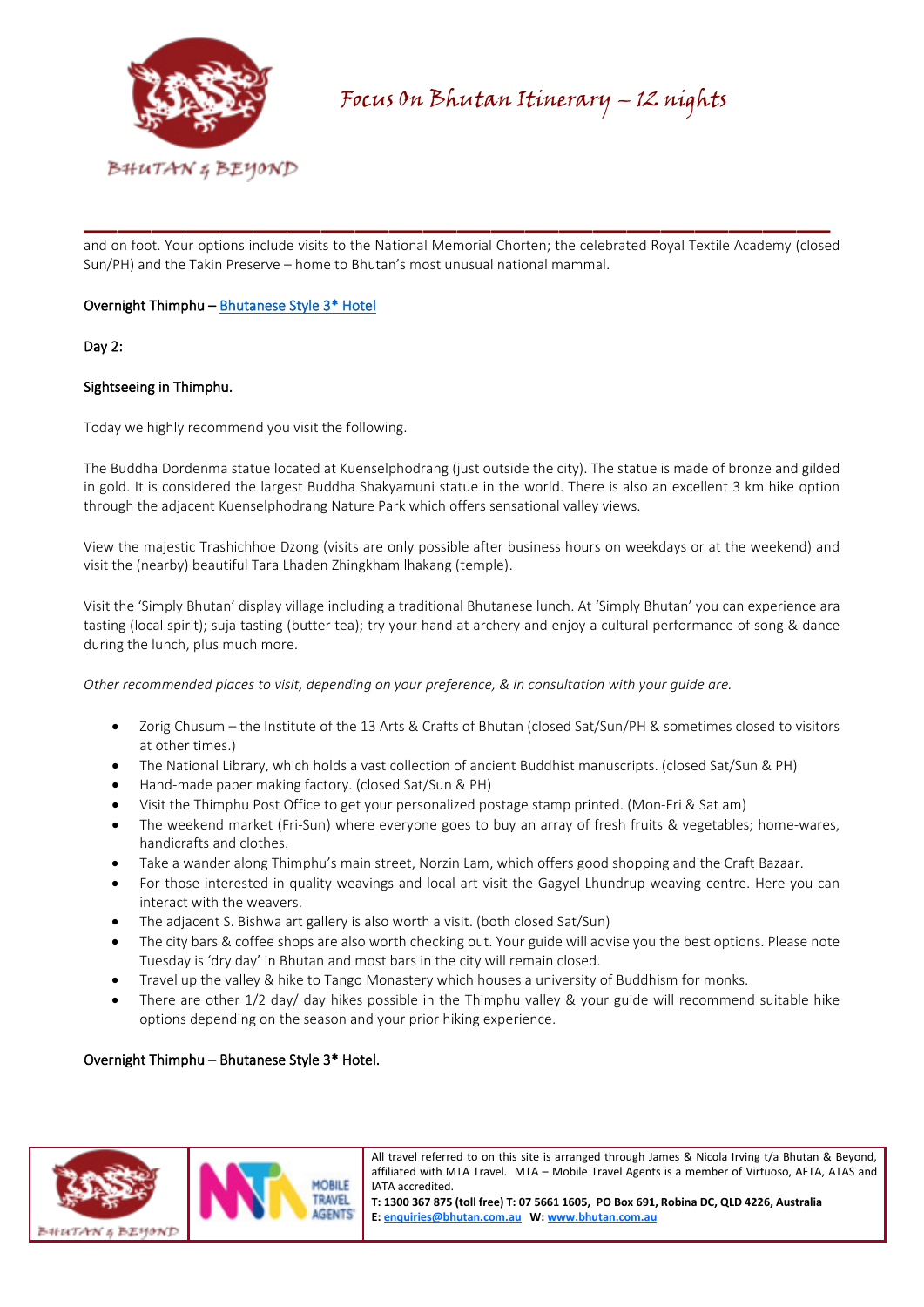

and on foot. Your options include visits to the National Memorial Chorten; the celebrated Royal Textile Academy (closed Sun/PH) and the Takin Preserve – home to Bhutan's most unusual national mammal.

\_\_\_\_\_\_\_\_\_\_\_\_\_\_\_\_\_\_\_\_\_\_\_\_\_\_\_\_\_\_\_\_\_\_\_\_\_\_\_\_\_\_\_\_

# Overnight Thimphu [– Bhutanese Style 3\\* Hotel](https://bhutan.com.au/thimphu-hotels/)

## Day 2:

## Sightseeing in Thimphu.

Today we highly recommend you visit the following.

The Buddha Dordenma statue located at Kuenselphodrang (just outside the city). The statue is made of bronze and gilded in gold. It is considered the largest Buddha Shakyamuni statue in the world. There is also an excellent 3 km hike option through the adjacent Kuenselphodrang Nature Park which offers sensational valley views.

View the majestic Trashichhoe Dzong (visits are only possible after business hours on weekdays or at the weekend) and visit the (nearby) beautiful Tara Lhaden Zhingkham lhakang (temple).

Visit the 'Simply Bhutan' display village including a traditional Bhutanese lunch. At 'Simply Bhutan' you can experience ara tasting (local spirit); suja tasting (butter tea); try your hand at archery and enjoy a cultural performance of song & dance during the lunch, plus much more.

*Other recommended places to visit, depending on your preference, & in consultation with your guide are.*

- Zorig Chusum the Institute of the 13 Arts & Crafts of Bhutan (closed Sat/Sun/PH & sometimes closed to visitors at other times.)
- The National Library, which holds a vast collection of ancient Buddhist manuscripts. (closed Sat/Sun & PH)
- Hand-made paper making factory. (closed Sat/Sun & PH)
- Visit the Thimphu Post Office to get your personalized postage stamp printed. (Mon-Fri & Sat am)
- The weekend market (Fri-Sun) where everyone goes to buy an array of fresh fruits & vegetables; home-wares, handicrafts and clothes.
- Take a wander along Thimphu's main street, Norzin Lam, which offers good shopping and the Craft Bazaar.
- For those interested in quality weavings and local art visit the Gagyel Lhundrup weaving centre. Here you can interact with the weavers.
- The adjacent S. Bishwa art gallery is also worth a visit. (both closed Sat/Sun)
- The city bars & coffee shops are also worth checking out. Your guide will advise you the best options. Please note Tuesday is 'dry day' in Bhutan and most bars in the city will remain closed.
- Travel up the valley & hike to Tango Monastery which houses a university of Buddhism for monks.
- There are other 1/2 day/ day hikes possible in the Thimphu valley & your guide will recommend suitable hike options depending on the season and your prior hiking experience.

# Overnight Thimphu – Bhutanese Style 3\* Hotel.



All travel referred to on this site is arranged through James & Nicola Irving t/a Bhutan & Beyond, affiliated with MTA Travel. MTA – Mobile Travel Agents is a member of Virtuoso, AFTA, ATAS and IATA accredited.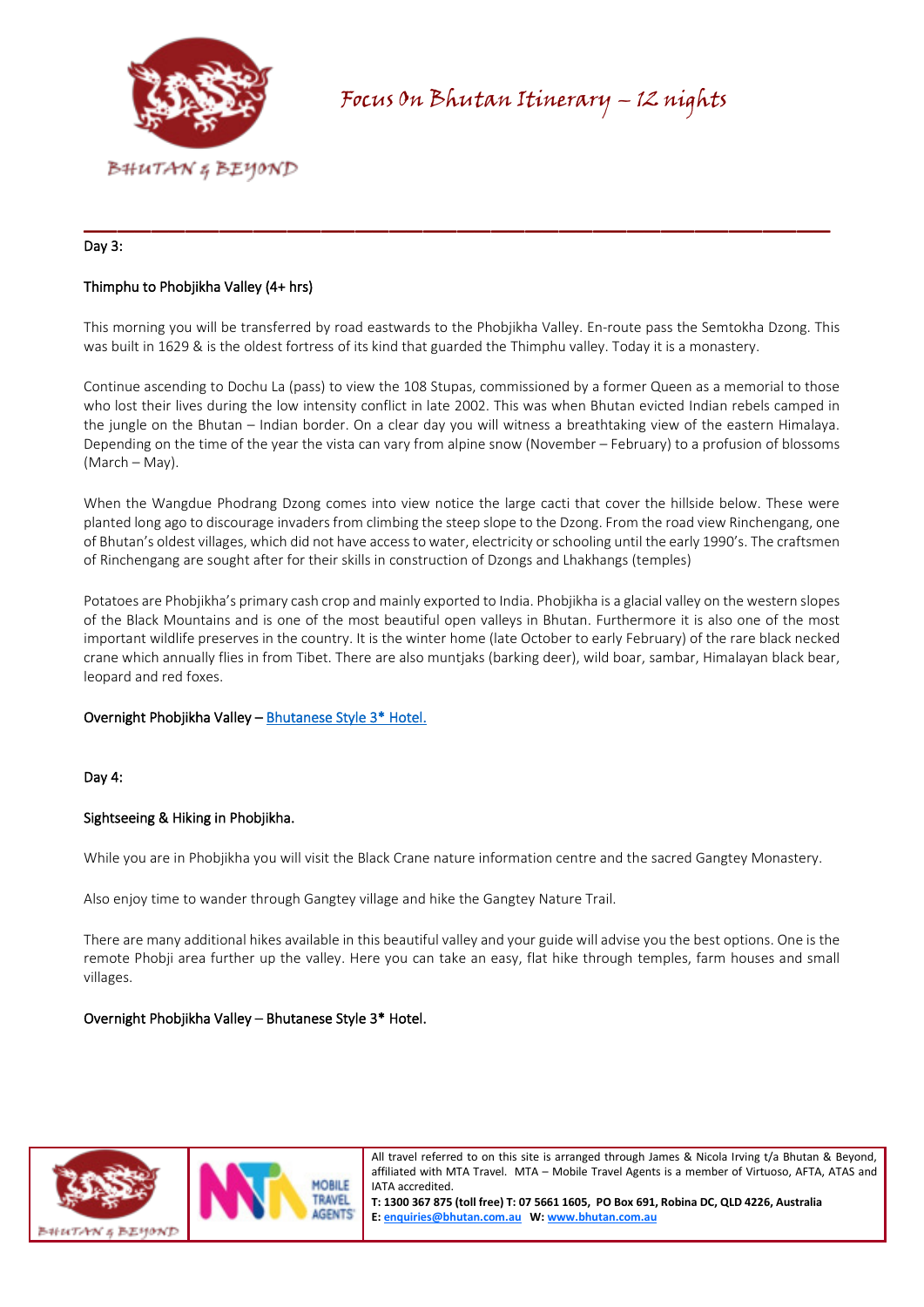

## Day 3:

# Thimphu to Phobjikha Valley (4+ hrs)

This morning you will be transferred by road eastwards to the Phobjikha Valley. En-route pass the Semtokha Dzong. This was built in 1629 & is the oldest fortress of its kind that guarded the Thimphu valley. Today it is a monastery.

\_\_\_\_\_\_\_\_\_\_\_\_\_\_\_\_\_\_\_\_\_\_\_\_\_\_\_\_\_\_\_\_\_\_\_\_\_\_\_\_\_\_\_\_

Continue ascending to Dochu La (pass) to view the 108 Stupas, commissioned by a former Queen as a memorial to those who lost their lives during the low intensity conflict in late 2002. This was when Bhutan evicted Indian rebels camped in the jungle on the Bhutan – Indian border. On a clear day you will witness a breathtaking view of the eastern Himalaya. Depending on the time of the year the vista can vary from alpine snow (November – February) to a profusion of blossoms (March – May).

When the Wangdue Phodrang Dzong comes into view notice the large cacti that cover the hillside below. These were planted long ago to discourage invaders from climbing the steep slope to the Dzong. From the road view Rinchengang, one of Bhutan's oldest villages, which did not have access to water, electricity or schooling until the early 1990's. The craftsmen of Rinchengang are sought after for their skills in construction of Dzongs and Lhakhangs (temples)

Potatoes are Phobjikha's primary cash crop and mainly exported to India. Phobjikha is a glacial valley on the western slopes of the Black Mountains and is one of the most beautiful open valleys in Bhutan. Furthermore it is also one of the most important wildlife preserves in the country. It is the winter home (late October to early February) of the rare black necked crane which annually flies in from Tibet. There are also muntjaks (barking deer), wild boar, sambar, Himalayan black bear, leopard and red foxes.

#### Overnight Phobjikha Valley [– Bhutanese Style 3\\* Hotel.](https://bhutan.com.au/phobjikha-valley-hotels/)

#### Day 4:

#### Sightseeing & Hiking in Phobjikha.

While you are in Phobjikha you will visit the Black Crane nature information centre and the sacred Gangtey Monastery.

Also enjoy time to wander through Gangtey village and hike the Gangtey Nature Trail.

There are many additional hikes available in this beautiful valley and your guide will advise you the best options. One is the remote Phobji area further up the valley. Here you can take an easy, flat hike through temples, farm houses and small villages.

#### Overnight Phobjikha Valley – Bhutanese Style 3\* Hotel.



All travel referred to on this site is arranged through James & Nicola Irving t/a Bhutan & Beyond, affiliated with MTA Travel. MTA – Mobile Travel Agents is a member of Virtuoso, AFTA, ATAS and IATA accredited.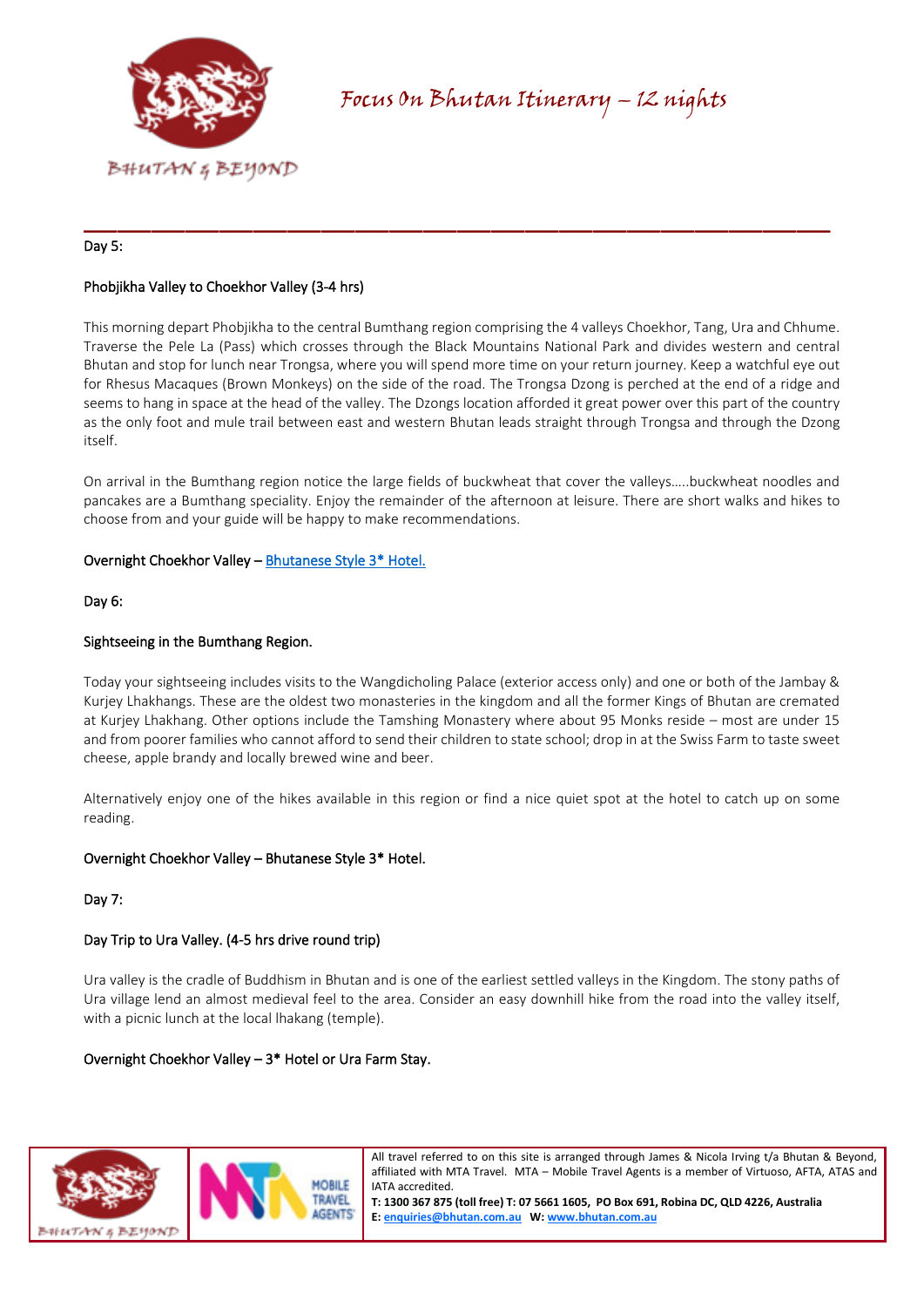

# Day 5:

# Phobjikha Valley to Choekhor Valley (3-4 hrs)

This morning depart Phobjikha to the central Bumthang region comprising the 4 valleys Choekhor, Tang, Ura and Chhume. Traverse the Pele La (Pass) which crosses through the Black Mountains National Park and divides western and central Bhutan and stop for lunch near Trongsa, where you will spend more time on your return journey. Keep a watchful eye out for Rhesus Macaques (Brown Monkeys) on the side of the road. The Trongsa Dzong is perched at the end of a ridge and seems to hang in space at the head of the valley. The Dzongs location afforded it great power over this part of the country as the only foot and mule trail between east and western Bhutan leads straight through Trongsa and through the Dzong itself.

\_\_\_\_\_\_\_\_\_\_\_\_\_\_\_\_\_\_\_\_\_\_\_\_\_\_\_\_\_\_\_\_\_\_\_\_\_\_\_\_\_\_\_\_

On arrival in the Bumthang region notice the large fields of buckwheat that cover the valleys…..buckwheat noodles and pancakes are a Bumthang speciality. Enjoy the remainder of the afternoon at leisure. There are short walks and hikes to choose from and your guide will be happy to make recommendations.

#### Overnight Choekhor Valley – [Bhutanese Style 3\\* Hotel.](https://bhutan.com.au/choekhor-valley-hotels/)

Day 6:

#### Sightseeing in the Bumthang Region.

Today your sightseeing includes visits to the Wangdicholing Palace (exterior access only) and one or both of the Jambay & Kurjey Lhakhangs. These are the oldest two monasteries in the kingdom and all the former Kings of Bhutan are cremated at Kurjey Lhakhang. Other options include the Tamshing Monastery where about 95 Monks reside – most are under 15 and from poorer families who cannot afford to send their children to state school; drop in at the Swiss Farm to taste sweet cheese, apple brandy and locally brewed wine and beer.

Alternatively enjoy one of the hikes available in this region or find a nice quiet spot at the hotel to catch up on some reading.

#### Overnight Choekhor Valley – Bhutanese Style 3\* Hotel.

#### Day 7:

#### Day Trip to Ura Valley. (4-5 hrs drive round trip)

Ura valley is the cradle of Buddhism in Bhutan and is one of the earliest settled valleys in the Kingdom. The stony paths of Ura village lend an almost medieval feel to the area. Consider an easy downhill hike from the road into the valley itself, with a picnic lunch at the local lhakang (temple).

#### Overnight Choekhor Valley – 3\* Hotel or Ura Farm Stay.



All travel referred to on this site is arranged through James & Nicola Irving t/a Bhutan & Beyond, affiliated with MTA Travel. MTA – Mobile Travel Agents is a member of Virtuoso, AFTA, ATAS and IATA accredited.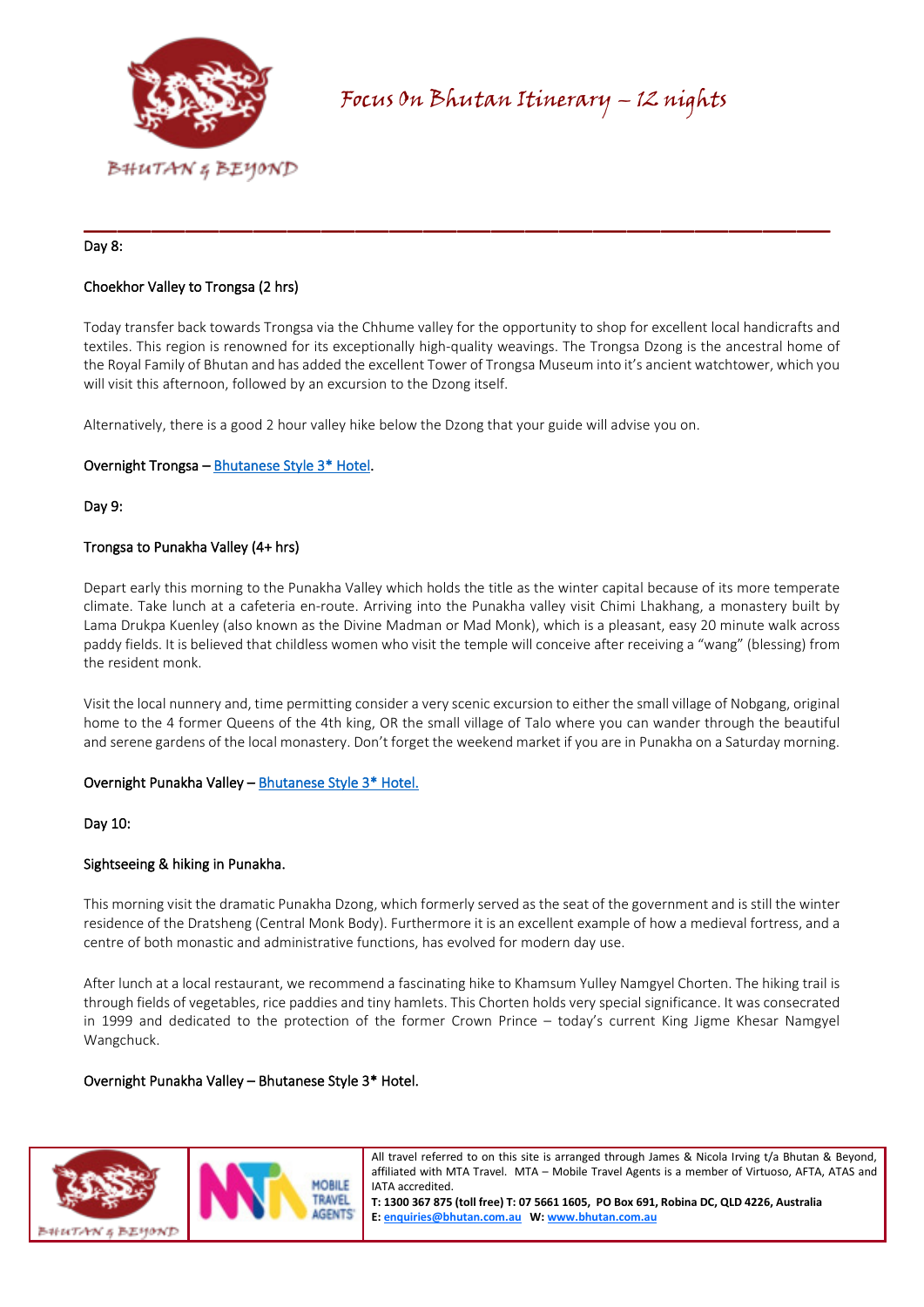

#### Day 8:

# Choekhor Valley to Trongsa (2 hrs)

Today transfer back towards Trongsa via the Chhume valley for the opportunity to shop for excellent local handicrafts and textiles. This region is renowned for its exceptionally high-quality weavings. The Trongsa Dzong is the ancestral home of the Royal Family of Bhutan and has added the excellent Tower of Trongsa Museum into it's ancient watchtower, which you will visit this afternoon, followed by an excursion to the Dzong itself.

\_\_\_\_\_\_\_\_\_\_\_\_\_\_\_\_\_\_\_\_\_\_\_\_\_\_\_\_\_\_\_\_\_\_\_\_\_\_\_\_\_\_\_\_

Alternatively, there is a good 2 hour valley hike below the Dzong that your guide will advise you on.

#### Overnight Trongsa [– Bhutanese Style 3\\* Hotel.](https://bhutan.com.au/trongsa-hotels/)

Day 9:

#### Trongsa to Punakha Valley (4+ hrs)

Depart early this morning to the Punakha Valley which holds the title as the winter capital because of its more temperate climate. Take lunch at a cafeteria en-route. Arriving into the Punakha valley visit Chimi Lhakhang, a monastery built by Lama Drukpa Kuenley (also known as the Divine Madman or Mad Monk), which is a pleasant, easy 20 minute walk across paddy fields. It is believed that childless women who visit the temple will conceive after receiving a "wang" (blessing) from the resident monk.

Visit the local nunnery and, time permitting consider a very scenic excursion to either the small village of Nobgang, original home to the 4 former Queens of the 4th king, OR the small village of Talo where you can wander through the beautiful and serene gardens of the local monastery. Don't forget the weekend market if you are in Punakha on a Saturday morning.

#### Overnight Punakha Valley [– Bhutanese Style 3\\* Hotel.](https://bhutan.com.au/punakha-valley-hotel/)

Day 10:

# Sightseeing & hiking in Punakha.

This morning visit the dramatic Punakha Dzong, which formerly served as the seat of the government and is still the winter residence of the Dratsheng (Central Monk Body). Furthermore it is an excellent example of how a medieval fortress, and a centre of both monastic and administrative functions, has evolved for modern day use.

After lunch at a local restaurant, we recommend a fascinating hike to Khamsum Yulley Namgyel Chorten. The hiking trail is through fields of vegetables, rice paddies and tiny hamlets. This Chorten holds very special significance. It was consecrated in 1999 and dedicated to the protection of the former Crown Prince – today's current King Jigme Khesar Namgyel Wangchuck.

#### Overnight Punakha Valley – Bhutanese Style 3\* Hotel.



All travel referred to on this site is arranged through James & Nicola Irving t/a Bhutan & Beyond, affiliated with MTA Travel. MTA – Mobile Travel Agents is a member of Virtuoso, AFTA, ATAS and IATA accredited.